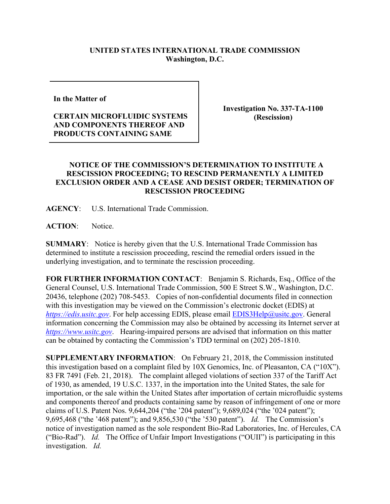## **UNITED STATES INTERNATIONAL TRADE COMMISSION Washington, D.C.**

**In the Matter of** 

## **CERTAIN MICROFLUIDIC SYSTEMS AND COMPONENTS THEREOF AND PRODUCTS CONTAINING SAME**

**Investigation No. 337-TA-1100 (Rescission)**

## **NOTICE OF THE COMMISSION'S DETERMINATION TO INSTITUTE A RESCISSION PROCEEDING; TO RESCIND PERMANENTLY A LIMITED EXCLUSION ORDER AND A CEASE AND DESIST ORDER; TERMINATION OF RESCISSION PROCEEDING**

**AGENCY**: U.S. International Trade Commission.

**ACTION**: Notice.

**SUMMARY**: Notice is hereby given that the U.S. International Trade Commission has determined to institute a rescission proceeding, rescind the remedial orders issued in the underlying investigation, and to terminate the rescission proceeding.

**FOR FURTHER INFORMATION CONTACT**: Benjamin S. Richards, Esq., Office of the General Counsel, U.S. International Trade Commission, 500 E Street S.W., Washington, D.C. 20436, telephone (202) 708-5453. Copies of non-confidential documents filed in connection with this investigation may be viewed on the Commission's electronic docket (EDIS) at *[https://edis.usitc.gov](https://edis.usitc.gov/).* For help accessing EDIS, please email [EDIS3Help@usitc.gov.](mailto:EDIS3Help@usitc.gov) General information concerning the Commission may also be obtained by accessing its Internet server at *[https://www.usitc.gov](https://www.usitc.gov/)*. Hearing-impaired persons are advised that information on this matter can be obtained by contacting the Commission's TDD terminal on (202) 205-1810.

**SUPPLEMENTARY INFORMATION**: On February 21, 2018, the Commission instituted this investigation based on a complaint filed by 10X Genomics, Inc. of Pleasanton, CA ("10X"). 83 FR 7491 (Feb. 21, 2018). The complaint alleged violations of section 337 of the Tariff Act of 1930, as amended, 19 U.S.C. 1337, in the importation into the United States, the sale for importation, or the sale within the United States after importation of certain microfluidic systems and components thereof and products containing same by reason of infringement of one or more claims of U.S. Patent Nos. 9,644,204 ("the '204 patent"); 9,689,024 ("the '024 patent"); 9,695,468 ("the '468 patent"); and 9,856,530 ("the '530 patent"). *Id.* The Commission's notice of investigation named as the sole respondent Bio-Rad Laboratories, Inc. of Hercules, CA ("Bio-Rad"). *Id.* The Office of Unfair Import Investigations ("OUII") is participating in this investigation. *Id.*